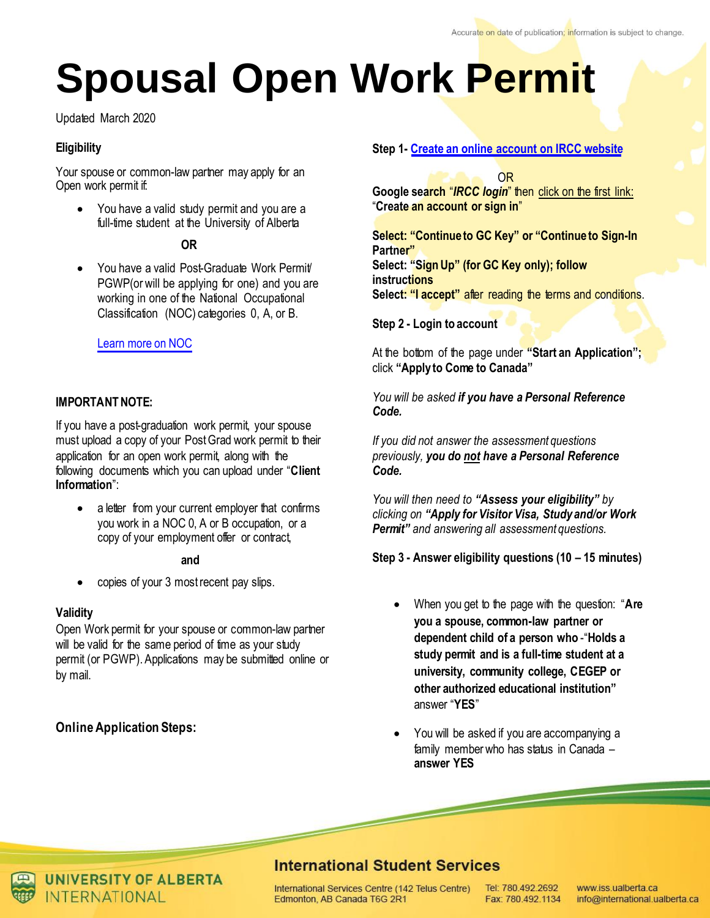# **Spousal Open Work Permit**

Updated March 2020

## **Eligibility**

Your spouse or common-law partner may apply for an Open work permit if:

 You have a valid study permit and you are a full-time student at the University of Alberta

#### **OR**

You have a valid Post-Graduate Work Permit PGWP(or will be applying for one) and you are working in one of the National Occupational Classification (NOC) categories 0, A, or B.

## Learn [more on NOC](http://noc.esdc.gc.ca/English/noc/welcome.aspx?ver=16)

# **IMPORTANT NOTE:**

If you have a post-graduation work permit, your spouse must upload a copy of your Post Grad work permit to their application for an open work permit, along with the following documents which you can upload under "**Client Information**":

• a letter from your current employer that confirms you work in a NOC 0, A or B occupation, or a copy of your employment offer or contract,

#### **and**

copies of your 3 most recent pay slips.

#### **Validity**

Open Work permit for your spouse or common-law partner will be valid for the same period of time as your study permit (or PGWP). Applications may be submitted online or by mail.

# **Online Application Steps:**

#### **Step 1- [Create an online account on IRCC website](https://www.canada.ca/en/immigration-refugees-citizenship/services/application/account.html)**

OR

**Google search** "*IRCC login*" then click on the first link: "**Create an account or sign in**"

**Select: "Continue to GC Key" or "Continue to Sign-In Partner" Select: "Sign Up" (for GC Key only); follow instructions Select: "I accept"** after reading the terms and conditions.

**Step 2 - Login to account**

At the bottom of the page under **"Start an Application";**  click **"Apply to Come to Canada"**

*You will be asked if you have a Personal Reference Code.* 

*If you did not answer the assessment questions previously, you do not have a Personal Reference Code.* 

*You will then need to "Assess your eligibility" by clicking on "Apply for Visitor Visa, Study and/or Work Permit" and answering all assessment questions.* 

**Step 3 - Answer eligibility questions (10 – 15 minutes)**

- When you get to the page with the question: "**Are you a spouse, common-law partner or dependent child of a person who** -"**Holds a study permit and is a full-time student at a university, community college, CEGEP or other authorized educational institution"** answer "**YES**"
- You will be asked if you are accompanying a family member who has status in Canada – **answer YES**

# **International Student Services**

International Services Centre (142 Telus Centre) Edmonton, AB Canada T6G 2R1

Tel: 780.492.2692 Fax: 780.492.1134

www.iss.ualberta.ca info@international.ualberta.ca



**UNIVERSITY OF ALBERTA NTFRNATIONAL**